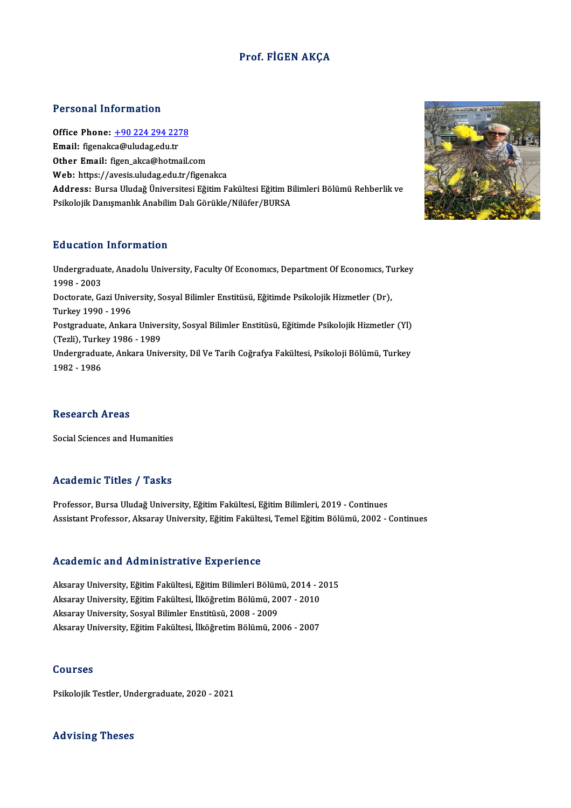### Prof. FİGEN AKÇA

#### Personal Information

Personal Information<br>Office Phone: <u>+90 224 294 2278</u><br>Email: figanalsa@uludag.edu.tr Tereoria: 11101 matemat<br>Office Phone: <u>+90 224 294 227</u><br>Email: figenak[ca@uludag.edu.tr](tel:+90 224 294 2278) Email: figenakca@uludag.edu.tr<br>Other Email: figen\_akca@hotmail.com Web: https://avesis.uludag.edu.tr/figenakca Other Email: figen\_akca@hotmail.com<br>Web: https://avesis.uludag.edu.tr/figenakca<br>Address: Bursa Uludağ Üniversitesi Eğitim Fakültesi Eğitim Bilimleri Bölümü Rehberlik ve<br>Psikolojik Danısmanlık Anabilim Dak Cörükle (Nikifar **Web:** https://avesis.uludag.edu.tr/figenakca<br>**Address:** Bursa Uludağ Üniversitesi Eğitim Fakültesi Eğitim Bi<br>Psikolojik Danışmanlık Anabilim Dalı Görükle/Nilüfer/BURSA Psikolojik Danışmanlık Anabilim Dalı Görükle/Nilüfer/BURSA<br>Education Information

Education Information<br>Undergraduate, Anadolu University, Faculty Of Economıcs, Department Of Economıcs, Turkey<br>1998–2002 2002001<br>Undergradua<br>1998 - 2003<br>Desterste Co Undergraduate, Anadolu University, Faculty Of Economics, Department Of Economics, Tu<br>1998 - 2003<br>Doctorate, Gazi University, Sosyal Bilimler Enstitüsü, Eğitimde Psikolojik Hizmetler (Dr),<br>Turkey 1990 - 1996 1998 - 2003<br>Doctorate, Gazi Unive<br>Turkey 1990 - 1996<br>Postareduate, Ankar Doctorate, Gazi University, Sosyal Bilimler Enstitüsü, Eğitimde Psikolojik Hizmetler (Dr),<br>Turkey 1990 - 1996<br>Postgraduate, Ankara University, Sosyal Bilimler Enstitüsü, Eğitimde Psikolojik Hizmetler (Yl)<br>(Tarli), Turkov 1 Turkey 1990 - 1996<br>Postgraduate, Ankara Univer<br>(Tezli), Turkey 1986 - 1989<br>Undergraduate, Ankara Univ Postgraduate, Ankara University, Sosyal Bilimler Enstitüsü, Eğitimde Psikolojik Hizmetler (Yl)<br>(Tezli), Turkey 1986 - 1989<br>Undergraduate, Ankara University, Dil Ve Tarih Coğrafya Fakültesi, Psikoloji Bölümü, Turkey<br>1982 - (Tezli), Turke<br>Undergradua<br>1982 - 1986

#### **Research Areas**

Social Sciences and Humanities

#### Academic Titles / Tasks

Professor, Bursa Uludağ University, Eğitim Fakültesi, Eğitim Bilimleri, 2019 - Continues Assistant Professor, Aksaray University, Eğitim Fakültesi, Temel Eğitim Bölümü, 2002 - Continues

#### Academic and Administrative Experience

Academic and Administrative Experience<br>Aksaray University, Eğitim Fakültesi, Eğitim Bilimleri Bölümü, 2014 - 2015<br>Aksaray University, Eğitim Fakültesi, İlköğretim Bölümü, 2007 - 2010 Aksaray University, Eğitim Fakültesi, Eğitim Bilimleri Bölümü, 2014 - 2<br>Aksaray University, Eğitim Fakültesi, İlköğretim Bölümü, 2007 - 2010<br>Aksaray University, Sosyal Bilimler Fastitüsü, 2008, 2009 Aksaray University, Sosyal Bilimler Enstitüsü, 2008 - 2009<br>Aksaray University, Eğitim Fakültesi, İlköğretim Bölümü, 2006 - 2007 Aksaray University, Eğitim Fakültesi, İlköğretim Bölümü, 2007 - 2010

#### Courses

Psikolojik Testler, Undergraduate, 2020 - 2021

### Advising Theses

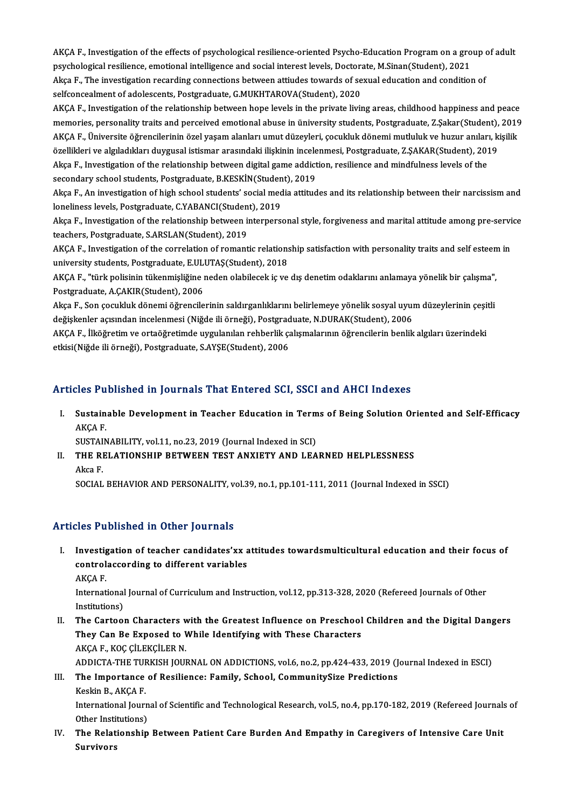AKÇA F., Investigation of the effects of psychological resilience-oriented Psycho-Education Program on a group of adult<br>Revehological resilience, emotional intelligence and social intenset levels. Dectarate M Sinan(Student AKÇA F., Investigation of the effects of psychological resilience-oriented Psycho-Education Program on a gro<br>psychological resilience, emotional intelligence and social interest levels, Doctorate, M.Sinan(Student), 2021<br>Al AKÇA F., Investigation of the effects of psychological resilience-oriented Psycho-Education Program on a group<br>psychological resilience, emotional intelligence and social interest levels, Doctorate, M.Sinan(Student), 2021<br> psychological resilience, emotional intelligence and social interest levels, Doctorate, M.Sinan(Student), 2021<br>Akça F., The investigation recarding connections between attiudes towards of sexual education and condition of<br> Akça F., The investigation recarding connections between attiudes towards of sexual education and condition of<br>selfconcealment of adolescents, Postgraduate, G.MUKHTAROVA(Student), 2020<br>AKÇA F., Investigation of the relatio

memories, personality traits and perceived emotional abuse in üniversity students, Postgraduate, Z.Şakar(Student), 2019 AKÇA F., Investigation of the relationship between hope levels in the private living areas, childhood happiness and peace<br>memories, personality traits and perceived emotional abuse in üniversity students, Postgraduate, Z.Ş memories, personality traits and perceived emotional abuse in üniversity students, Postgraduate, Z.Şakar(Student),<br>AKÇA F., Üniversite öğrencilerinin özel yaşam alanları umut düzeyleri, çocukluk dönemi mutluluk ve huzur an AKÇA F., Üniversite öğrencilerinin özel yaşam alanları umut düzeyleri, çocukluk dönemi mutluluk ve huzur anılar<br>özellikleri ve algıladıkları duygusal istismar arasındaki ilişkinin incelenmesi, Postgraduate, Z.ŞAKAR(Student özellikleri ve algıladıkları duygusal istismar arasındaki ilişkinin incele<br>Akça F., Investigation of the relationship between digital game addict<br>secondary school students, Postgraduate, B.KESKİN(Student), 2019<br>Akça E. An

Akça F., Investigation of the relationship between digital game addiction, resilience and mindfulness levels of the<br>secondary school students, Postgraduate, B.KESKİN(Student), 2019<br>Akça F., An investigation of high school secondary school students, Postgraduate, B.KESKİN(Studen<br>Akça F., An investigation of high school students' social med<br>loneliness levels, Postgraduate, C.YABANCI(Student), 2019<br>Akça E. Investigation of the relationship bet Akça F., An investigation of high school students' social media attitudes and its relationship between their narcissism and<br>loneliness levels, Postgraduate, C.YABANCI(Student), 2019<br>Akça F., Investigation of the relationsh

teachers, Postgraduate, S.ARSLAN(Student), 2019 Akça F., Investigation of the relationship between interpersonal style, forgiveness and marital attitude among pre-servi<br>teachers, Postgraduate, S.ARSLAN(Student), 2019<br>AKÇA F., Investigation of the correlation of romantic

teachers, Postgraduate, S.ARSLAN(Student), 2019<br>AKÇA F., Investigation of the correlation of romantic relations<br>university students, Postgraduate, E.ULUTAŞ(Student), 2018<br>AKÇA E. "türk polisinin tükenmişliğine neden olabil AKÇA F., Investigation of the correlation of romantic relationship satisfaction with personality traits and self esteen<br>university students, Postgraduate, E.ULUTAŞ(Student), 2018<br>AKÇA F., "türk polisinin tükenmişliğine ned

university students, Postgraduate, E.ULUTAŞ(Student), 2018<br>AKÇA F., "türk polisinin tükenmişliğine neden olabilecek iç ve dış denetim odaklarını anlamaya yönelik bir çalışma",<br>Postgraduate, A.CAKIR(Student), 2006 AKÇA F., "türk polisinin tükenmişliğine neden olabilecek iç ve dış denetim odaklarını anlamaya yönelik bir çalışma",<br>Postgraduate, A.ÇAKIR(Student), 2006<br>Akça F., Son çocukluk dönemi öğrencilerinin saldırganlıklarını belir

Postgraduate, A.ÇAKIR(Student), 2006<br>Akça F., Son çocukluk dönemi öğrencilerinin saldırganlıklarını belirlemeye yönelik sosyal uyuı<br>değişkenler açısından incelenmesi (Niğde ili örneği), Postgraduate, N.DURAK(Student), 2006 Akça F., Son çocukluk dönemi öğrencilerinin saldırganlıklarını belirlemeye yönelik sosyal uyum düzeylerinin çeşi<br>değişkenler açısından incelenmesi (Niğde ili örneği), Postgraduate, N.DURAK(Student), 2006<br>AKÇA F., İlköğreti

değişkenler açısından incelenmesi (Niğde ili örneği), Postgraduate, N.DURAK(Student), 2006<br>AKÇA F., İlköğretim ve ortaöğretimde uygulanılan rehberlik çalışmalarının öğrencilerin benlik algıları üzerindeki<br>etkisi(Niğde ili

### Articles Published in Journals That Entered SCI, SSCI and AHCI Indexes

rticles Published in Journals That Entered SCI, SSCI and AHCI Indexes<br>I. Sustainable Development in Teacher Education in Terms of Being Solution Oriented and Self-Efficacy<br>AKCA E SICB 1 d<br>Sustain<br>AKÇA F. Sustainable Development in Teacher Education in Term<br>AKÇA F.<br>SUSTAINABILITY, vol.11, no.23, 2019 (Journal Indexed in SCI)<br>THE RELATIONSHIR RETWEEN TEST ANYIETY AND LEA

SUSTAINABILITY, vol.11, no.23, 2019 (Journal Indexed in SCI)

AKÇA F.<br>SUSTAINABILITY, vol.11, no.23, 2019 (Journal Indexed in SCI)<br>II. THE RELATIONSHIP BETWEEN TEST ANXIETY AND LEARNED HELPLESSNESS<br>Akca F.

SOCIAL BEHAVIOR AND PERSONALITY, vol.39, no.1, pp.101-111, 2011 (Journal Indexed in SSCI)

### Articles Published in Other Journals

I. Investigation of teacher candidates'xx attitudes towardsmulticultural education and their focus of Investigation of teacher candidates'xx a<br>controlaccording to different variables Investig<br>control<br>AKÇA F.<br>Internet

controlaccording to different variables<br>AKÇA F.<br>International Journal of Curriculum and Instruction, vol.12, pp.313-328, 2020 (Refereed Journals of Other<br>Institutions) AKÇA F.<br>International<br>Institutions)<br>The Certee:

Institutions)<br>II. The Cartoon Characters with the Greatest Influence on Preschool Children and the Digital Dangers Institutions)<br>The Cartoon Characters with the Greatest Influence on Preschool<br>They Can Be Exposed to While Identifying with These Characters<br>AKCA E, KOC CU EKCU EP N The Cartoon Characters **v**<br>They Can Be Exposed to V<br>AKÇA F., KOÇ ÇİLEKÇİLER N.<br>ADDICTA TUE TURKISH JOU AKÇA F., KOÇ ÇİLEKÇİLER N.<br>ADDICTA-THE TURKISH JOURNAL ON ADDICTIONS, vol.6, no.2, pp.424-433, 2019 (Journal Indexed in ESCI)

# AKÇA F., KOÇ ÇİLEKÇİLER N.<br>ADDICTA-THE TURKISH JOURNAL ON ADDICTIONS, vol.6, no.2, pp.424-433, 2019 (J<br>III. The Importance of Resilience: Family, School, CommunitySize Predictions<br>Keelin B. AKCA E ADDICTA-THE TUF<br>The Importance<br>Keskin B., AKÇA F.<br>International Journ

Keskin B., AKÇA F.<br>International Journal of Scientific and Technological Research, vol.5, no.4, pp.170-182, 2019 (Refereed Journals of Keskin B., AKÇA F.<br>International Journ<br>Other Institutions)<br>The Belationshin

IV. The Relationship Between Patient Care Burden And Empathy in Caregivers of Intensive Care Unit Other Insti<br><mark>The Relat</mark><br>Survivors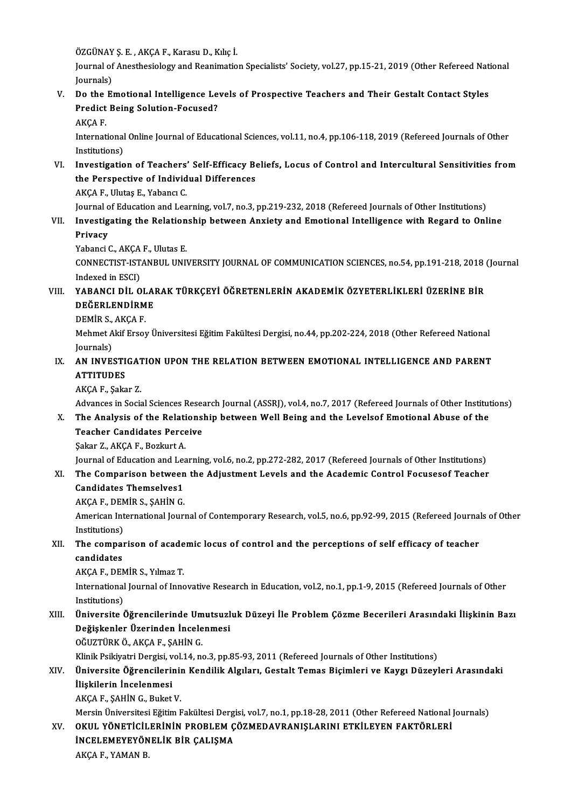ÖZGÜNAY Ş. E. , AKÇA F., Karasu D., Kılıç İ.<br>İournal of Anesthesialagu and Beanimatio

Journal of Anesthesiology and Reanimation Specialists' Society, vol.27, pp.15-21, 2019 (Other Refereed National<br>Journals) ÖZGÜNAY<br>Journal of<br>Journals)<br>De the E Journal of Anesthesiology and Reanimation Specialists' Society, vol.27, pp.15-21, 2019 (Other Refereed Nat<br>Journals)<br>V. Do the Emotional Intelligence Levels of Prospective Teachers and Their Gestalt Contact Styles<br>Prodist

# Journals)<br>Do the Emotional Intelligence Le<br>Predict Being Solution-Focused?<br>AKCA E Do the<br>Predict<br>AKÇA F.<br>Internat

Predict Being Solution-Focused?<br>AKÇA F.<br>International Online Journal of Educational Sciences, vol.11, no.4, pp.106-118, 2019 (Refereed Journals of Other AKÇA F.<br>International<br>Investisatio

### VI. Investigation of Teachers' Self-Efficacy Beliefs, Locus of Control and Intercultural Sensitivities from Institutions)<br>Investigation of Teachers' Self-Efficacy Be<br>the Perspective of Individual Differences<br>AKCA E. Ulutes E. Yabang C Investigation of Teachers<br>the Perspective of Individ<br>AKÇA F., Ulutaş E., Yabancı C.<br>Journal of Education and Lea

AKÇA F., Ulutaş E., Yabancı C.<br>Journal of Education and Learning, vol.7, no.3, pp.219-232, 2018 (Refereed Journals of Other Institutions)

# AKÇA F., Ulutaş E., Yabancı C.<br>Journal of Education and Learning, vol.7, no.3, pp.219-232, 2018 (Refereed Journals of Other Institutions)<br>VII. Investigating the Relationship between Anxiety and Emotional Intelligence w Journal o<br><mark>Investig</mark><br>Privacy I<mark>nvestigating the Relation<br>Privacy<br>Yabanci C., AKÇA F., Ulutas E.<br>CONNECTIST ISTANPUL UNI</mark>

Privacy<br>Yabanci C., AKÇA F., Ulutas E.<br>CONNECTIST-ISTANBUL UNIVERSITY JOURNAL OF COMMUNICATION SCIENCES, no.54, pp.191-218, 2018 (Journal Yabanci C., AKÇA<br>CONNECTIST-IST<br>Indexed in ESCI)<br>YARANCI DIL O CONNECTIST-ISTANBUL UNIVERSITY JOURNAL OF COMMUNICATION SCIENCES, no.54, pp.191-218, 2018<br>Indexed in ESCI)<br>VIII. YABANCI DİL OLARAK TÜRKÇEYİ ÖĞRETENLERİN AKADEMİK ÖZYETERLİKLERİ ÜZERİNE BİR<br>DEĞERI ENDİRME

# Indexed in ESCI)<br>VIII. YABANCI DİL OLARAK TÜRKÇEYİ ÖĞRETENLERİN AKADEMİK ÖZYETERLİKLERİ ÜZERİNE BİR<br>DEĞERLENDİRME YABANCI DİL OL<br>DEĞERLENDİRM<br>DEMİR S., AKÇA F.<br>Mehmet Akif Execa

Mehmet Akif Ersoy Üniversitesi Eğitim Fakültesi Dergisi, no.44, pp.202-224, 2018 (Other Refereed National Journals) **DEMIR S.,<br>Mehmet A**<br>Journals)<br>AN INVE Mehmet Akif Ersoy Üniversitesi Eğitim Fakültesi Dergisi, no.44, pp.202-224, 2018 (Other Refereed National Journals)<br>IX. AN INVESTIGATION UPON THE RELATION BETWEEN EMOTIONAL INTELLIGENCE AND PARENT<br>ATTITUDES

# Journals)<br><mark>AN INVESTI</mark><br>ATTITUDES<br><sup>AVCAE</sup> Saka <mark>AN INVESTIGAT</mark><br>ATTITUDES<br>AKÇA F., Şakar Z.<br>Advances in Socie

ATTITUDES<br>AKÇA F., Şakar Z.<br>Advances in Social Sciences Research Journal (ASSRJ), vol.4, no.7, 2017 (Refereed Journals of Other Institutions)

## AKÇA F., Şakar Z.<br>Advances in Social Sciences Research Journal (ASSRJ), vol.4, no.7, 2017 (Refereed Journals of Other Institut<br>X. The Analysis of the Relationship between Well Being and the Levelsof Emotional Abuse of t Advances in Social Sciences Researt<br>The Analysis of the Relations<br>Teacher Candidates Perceive<br>Seler 7 AKCA E. Begluut A The Analysis of the Relati<br>Teacher Candidates Perce<br>Şakar Z., AKÇA F., Bozkurt A.<br>Journal of Education and Les Teacher Candidates Perceive<br>Şakar Z., AKÇA F., Bozkurt A.<br>Journal of Education and Learning, vol.6, no.2, pp.272-282, 2017 (Refereed Journals of Other Institutions)<br>The Companison between the Adjustment Levels and the Ased

# Sakar Z., AKÇA F., Bozkurt A.<br>Journal of Education and Learning, vol.6, no.2, pp.272-282, 2017 (Refereed Journals of Other Institutions)<br>XI. The Comparison between the Adjustment Levels and the Academic Control Focuseso **Journal of Education and Lea<br>The Comparison between<br>Candidates Themselves1** The Comparison between<br>Candidates Themselves1<br>AKÇA F., DEMİR S., ŞAHİN G.<br>American International Iour

Candidates Themselves1<br>AKÇA F., DEMİR S., ŞAHİN G.<br>American International Journal of Contemporary Research, vol.5, no.6, pp.92-99, 2015 (Refereed Journals of Other AKÇA F., DEN<br>American Int<br>Institutions)<br>The compor American International Journal of Contemporary Research, vol.5, no.6, pp.92-99, 2015 (Refereed Journal<br>Institutions)<br>XII. The comparison of academic locus of control and the perceptions of self efficacy of teacher<br>condidat

# Institutions)<br>The compare<br>candidates<br>AVCA E DEN The comparison of acade<br>candidates<br>AKÇA F., DEMİR S., Yılmaz T.<br>International Journal of Inne

AKÇA F., DEMİR S., Yılmaz T.

candidates<br>AKÇA F., DEMİR S., Yılmaz T.<br>International Journal of Innovative Research in Education, vol.2, no.1, pp.1-9, 2015 (Refereed Journals of Other<br>Institutions) International Journal of Innovative Research in Education, vol.2, no.1, pp.1-9, 2015 (Refereed Journals of Other<br>Institutions)<br>XIII. Üniversite Öğrencilerinde Umutsuzluk Düzeyi İle Problem Çözme Becerileri Arasındaki İli

# Institutions)<br>Üniversite Öğrencilerinde Umutsuzl<br>Değişkenler Üzerinden İncelenmesi<br>Oğuzrüpkö AKCAF SAHİNC Üniversite Öğrencilerinde Um<br>Değişkenler Üzerinden İncele<br>OĞUZTÜRK Ö., AKÇA F., ŞAHİN G.<br>Klinik Beikiyatri Dergisi vel 14. ne Değişkenler Üzerinden İncelenmesi<br>OĞUZTÜRK Ö., AKÇA F., ŞAHİN G.<br>Klinik Psikiyatri Dergisi, vol.14, no.3, pp.85-93, 2011 (Refereed Journals of Other Institutions)<br>Üniversite Öğrensilerinin Kondilik Alsıları, Cestalt Tomas

## OĞUZTÜRK Ö., AKÇA F., ŞAHİN G.<br>Klinik Psikiyatri Dergisi, vol.14, no.3, pp.85-93, 2011 (Refereed Journals of Other Institutions)<br>XIV. Üniversite Öğrencilerinin Kendilik Algıları, Gestalt Temas Biçimleri ve Kaygı Düzeyl Klinik Psikiyatri Dergisi, v<br>Üniversite Öğrencileri<br>İlişkilerin İncelenmesi<br>AKCA E. SAHİN C. Buket Üniversite Öğrencilerini<br>İlişkilerin İncelenmesi<br>AKÇA F., ŞAHİN G., Buket V.<br>Morsin Üniversitesi Fğitim E İlişkilerin İncelenmesi<br>AKÇA F., ŞAHİN G., Buket V.<br>Mersin Üniversitesi Eğitim Fakültesi Dergisi, vol.7, no.1, pp.18-28, 2011 (Other Refereed National Journals)<br>OKUL YÖNETİCİL ERİNİN PROBLEM GÖZMEDAVRANISI ARINI ETKİL EVEN

AKÇA F., ŞAHİN G., Buket V.<br>Mersin Üniversitesi Eğitim Fakültesi Dergisi, vol.7, no.1, pp.18-28, 2011 (Other Refereed National )<br>XV. — OKUL YÖNETİCİLERİNİN PROBLEM ÇÖZMEDAVRANIŞLARINI ETKİLEYEN FAKTÖRLERİ<br>İNCEL EMEVEVÖNEL Mersin Üniversitesi Eğitim Fakültesi Derg<br>OKUL YÖNETİCİLERİNİN PROBLEM Ç<br>İNCELEMEYEYÖNELİK BİR ÇALIŞMA<br>AKCA E YAMAN P OKUL YÖNETİCİL<br>İNCELEMEYEYÖN<br>AKÇA F., YAMAN B.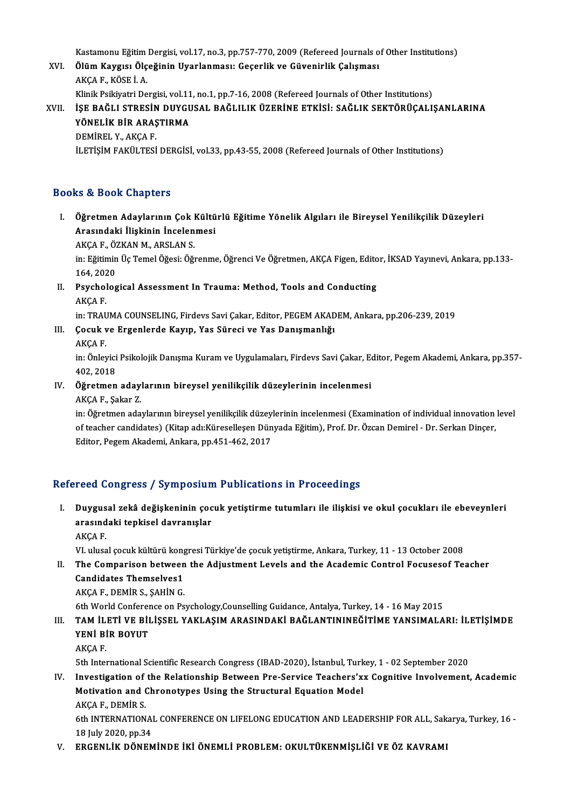Kastamonu Eğitim Dergisi, vol.17, no.3, pp.757-770, 2009 (Refereed Journals of Other Institutions)<br>Ölüm Kaygısı Ölesğinin Uyarlanması: Cesarlik ve Cüyaninlik Calygnası

Kastamonu Eğitim Dergisi, vol.17, no.3, pp.757-770, 2009 (Refereed Journals o<br>XVI. Ölüm Kaygısı Ölçeğinin Uyarlanması: Geçerlik ve Güvenirlik Çalışması<br>AKGA E. KÖSE İ.A Kastamonu Eğitim<br><mark>Ölüm Kaygısı Ölç</mark><br>AKÇA F., KÖSE İ. A.<br>Klinik Beikiyatri De Ölüm Kaygısı Ölçeğinin Uyarlanması: Geçerlik ve Güvenirlik Çalışması<br>AKÇA F., KÖSE İ. A.<br>Klinik Psikiyatri Dergisi, vol.11, no.1, pp.7-16, 2008 (Refereed Journals of Other Institutions) XVII. İŞE BAĞLI STRESİN DUYGUSAL BAĞLILIK ÜZERİNE ETKİSİ: SAĞLIK SEKTÖRÜÇALIŞANLARINA

Klinik Psikiyatri Dergisi, vol.11<br>İŞE BAĞLI STRESİN DUYGU<br>YÖNELİK BİR ARAŞTIRMA<br>DEMİPEL YAAKCA E İŞE BAĞLI STRESİN<br>YÖNELİK BİR ARAŞ<br>DEMİREL Y., AKÇA F.<br>U FTİSİM FAKÜLTESİ DEMİREL Y., AKÇA F.<br>İLETİŞİM FAKÜLTESİ DERGİSİ, vol.33, pp.43-55, 2008 (Refereed Journals of Other Institutions)

### Books&Book Chapters

ooks & Book Chapters<br>I. Öğretmen Adaylarının Çok Kültürlü Eğitime Yönelik Algıları ile Bireysel Yenilikçilik Düzeyleri<br>Arasındaki İliskinin İngelenmesi Arasındaki İlişkinin İncelenmesi<br>Öğretmen Adaylarının Çok Kültü<br>AKCA E. ÖZKAN M. ABSLAN S Öğretmen Adaylarının Çok l<br>Arasındaki İlişkinin İncelen<br>AKÇA F., ÖZKAN M., ARSLAN S.<br>inı Eğitimin Üe Temel Öğesi, Öğ

Arasındaki İlişkinin İncelenmesi<br>AKÇA F., ÖZKAN M., ARSLAN S.<br>in: Eğitimin Üç Temel Öğesi: Öğrenme, Öğrenci Ve Öğretmen, AKÇA Figen, Editor, İKSAD Yayınevi, Ankara, pp.133-AKÇA F., ÖZ<br>in: Eğitimin<br>164, 2020<br>Bayabalas in: Eğitimin Üç Temel Öğesi: Öğrenme, Öğrenci Ve Öğretmen, AKÇA Figen, Edito<br>164, 2020<br>II. Psychological Assessment In Trauma: Method, Tools and Conducting<br>AKÇA E

164, 202<br>Psychol<br>AKÇA F.<br>in: <sup>TRAL</sup> AKÇA F.<br>in: TRAUMA COUNSELING, Firdevs Savi Çakar, Editor, PEGEM AKAD<br>III. Çocuk ve Ergenlerde Kayıp, Yas Süreci ve Yas Danışmanlığı<br>AKÇA E

AKÇA F.<br>in: TRAUMA COUNSELING, Firdevs Savi Çakar, Editor, PEGEM AKADEM, Ankara, pp.206-239, 2019

# in: TRAU<br><mark>Çocuk v</mark><br>AKÇA F.<br>in: Önlet

Çocuk ve Ergenlerde Kayıp, Yas Süreci ve Yas Danışmanlığı<br>AKÇA F.<br>in: Önleyici Psikolojik Danışma Kuram ve Uygulamaları, Firdevs Savi Çakar, Editor, Pegem Akademi, Ankara, pp.357-AKÇA F.<br>in: Önleyici<br>402, 2018<br>Öğretmen in: Önleyici Psikolojik Danışma Kuram ve Uygulamaları, Firdevs Savi Çakar, E<br>402, 2018<br>IV. Öğretmen adaylarının bireysel yenilikçilik düzeylerinin incelenmesi<br>AKCA E. Sakar 7

# 402, 2018<br><mark>Öğretmen aday</mark><br>AKÇA F., Şakar Z.<br>in:Öğretmen ada

Öğretmen adaylarının bireysel yenilikçilik düzeylerinin incelenmesi<br>AKÇA F., Şakar Z.<br>in: Öğretmen adaylarının bireysel yenilikçilik düzeylerinin incelenmesi (Examination of individual innovation level<br>of teacher candidate AKÇA F., Şakar Z.<br>in: Öğretmen adaylarının bireysel yenilikçilik düzeylerinin incelenmesi (Examination of individual innovation<br>of teacher candidates) (Kitap adı:Küreselleşen Dünyada Eğitim), Prof. Dr. Özcan Demirel - Dr. in: Öğretmen adaylarının bireysel yenilikçilik düzey<br>of teacher candidates) (Kitap adı:Küreselleşen Dün<br>Editor, Pegem Akademi, Ankara, pp.451-462, 2017

# Editor, Pegem Akademi, Ankara, pp.451-462, 2017<br>Refereed Congress / Symposium Publications in Proceedings

I. Duygusal zekâ değişkeninin çocuk yetiştirme tutumları ile ilişkisi ve okul çocukları ile ebeveynleri reca dengress 7 symposium<br>Duygusal zekâ değişkeninin çoc<br>arasındaki tepkisel davranışlar Duygus<br>arasınd<br>AKÇA F. arası<mark>ndaki tepkisel davranışlar</mark><br>AKÇA F.<br>VI. ulusal çocuk kültürü kongresi Türkiye'de çocuk yetiştirme, Ankara, Turkey, 11 - 13 October 2008<br>The Comparison between the Adjustment Levels and the Asademis Control Fosusesof

AKÇA F.<br>VI. ulusal çocuk kültürü kongresi Türkiye'de çocuk yetiştirme, Ankara, Turkey, 11 - 13 October 2008<br>II. The Comparison between the Adjustment Levels and the Academic Control Focusesof Teacher<br>Condidates Themsel VI. ulusal çocuk kültürü kong<br>The Comparison between<br>Candidates Themselves1<br>AKCA E. DEMİP S. SAHİN C II. The Comparison between the Adjustment Levels and the Academic Control Focusesof Teacher<br>Candidates Themselves1<br>AKÇA F., DEMİR S., ŞAHİN G.

6th World Conference on Psychology,Counselling Guidance, Antalya, Turkey, 14 - 16 May 2015

### AKÇA F., DEMİR S., ŞAHİN G.<br>6th World Conference on Psychology,Counselling Guidance, Antalya, Turkey, 14 - 16 May 2015<br>III. TAM İLETİ VE BİLİŞSEL YAKLAŞIM ARASINDAKİ BAĞLANTININEĞİTİME YANSIMALARI: İLETİŞİMDE<br>YENİ PİR 6th World Conference<br>TAM İLETİ VE BİI<br>YENİ BİR BOYUT TAM İL.<br>YENİ Bİ<br>AKÇA F. 5th International Scientific Research Congress (IBAD-2020), İstanbul, Turkey, 1 - 02 September 2020<br>Sth International Scientific Research Congress (IBAD-2020), İstanbul, Turkey, 1 - 02 September 2020

## AKÇA F.<br>Ith International Scientific Research Congress (IBAD-2020), İstanbul, Turkey, 1 - 02 September 2020<br>IV. Investigation of the Relationship Between Pre-Service Teachers'xx Cognitive Involvement, Academic<br>Metivation a 5th International Scientific Research Congress (IBAD-2020), İstanbul, Turk<br>Investigation of the Relationship Between Pre-Service Teachers'x:<br>Motivation and Chronotypes Using the Structural Equation Model<br>AKCA E. DEMİR S **Investigation of<br>Motivation and (**<br>AKÇA F., DEMİR S.<br>4th INTERNATION Motivation and Chronotypes Using the Structural Equation Model<br>AKÇA F., DEMİR S.<br>6th INTERNATIONAL CONFERENCE ON LIFELONG EDUCATION AND LEADERSHIP FOR ALL, Sakarya, Turkey, 16 -<br>18 July 2020 pp <sup>24</sup>

AKÇA F., DEMIR S.<br>6th INTERNATIONAL<br>18 July 2020, pp.34<br>ERCENI İK DÖNEM

V. ERGENLİK DÖNEMİNDE İKİ ÖNEMLİ PROBLEM: OKULTÜKENMİŞLİĞİ VE ÖZ KAVRAMI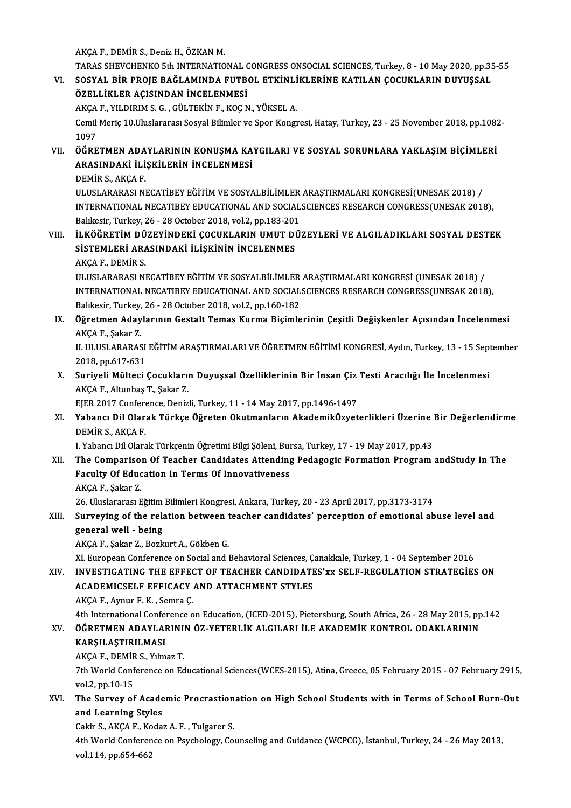AKÇAF.,DEMİRS.,DenizH.,ÖZKANM.

- AKÇA F., DEMİR S., Deniz H., ÖZKAN M.<br>TARAS SHEVCHENKO 5th INTERNATIONAL CONGRESS ONSOCIAL SCIENCES, Turkey, 8 10 May 2020, pp.35-55<br>SOSYAL BİR RROJE BAĞI AMINDA EUTROL ETKİNI İKLERİNE KATU AN COCUKLARIN DUVUSSAL AKÇA F., DEMİR S., Deniz H., ÖZKAN M.<br>TARAS SHEVCHENKO 5th INTERNATIONAL CONGRESS ONSOCIAL SCIENCES, Turkey, 8 - 10 May 2020, pp.35<br>VI. SOSYAL BİR PROJE BAĞLAMINDA FUTBOL ETKİNLİKLERİNE KATILAN ÇOCUKLARIN DUYUŞSAL<br>ÖZELLİKL TARAS SHEVCHENKO 5th INTERNATIONAL C<br>SOSYAL BİR PROJE BAĞLAMINDA FUTBO<br>ÖZELLİKLER AÇISINDAN İNCELENMESİ<br>AKCA E. YU DIBIM S.C., CÜLTEKİN E. KOCA SOSYAL BİR PROJE BAĞLAMINDA FUTBOL ETKİNLİ<br>ÖZELLİKLER AÇISINDAN İNCELENMESİ<br>AKÇA F., YILDIRIM S. G. , GÜLTEKİN F., KOÇ N., YÜKSEL A.<br>Camil Maris 10 Huslararası Sosyal Bilimlar ve Spor Kongr
	- AKÇA F., YILDIRIM S. G., GÜLTEKİN F., KOÇ N., YÜKSEL A.

ÖZELLİKLER AÇISINDAN İNCELENMESİ<br>AKÇA F., YILDIRIM S. G. , GÜLTEKİN F., KOÇ N., YÜKSEL A.<br>Cemil Meriç 10.Uluslararası Sosyal Bilimler ve Spor Kongresi, Hatay, Turkey, 23 - 25 November 2018, pp.1082-<br>1097 Cemil Meriç 10.Uluslararası Sosyal Bilimler ve Spor Kongresi, Hatay, Turkey, 23 - 25 November 2018, pp.1082<br>1097<br>VII. ÖĞRETMEN ADAYLARININ KONUŞMA KAYGILARI VE SOSYAL SORUNLARA YAKLAŞIM BİÇİMLERİ

1097<br>ÖĞRETMEN ADAYLARININ KONUŞMA KA'<br>ARASINDAKİ İLİŞKİLERİN İNCELENMESİ<br>DEMİR S. AKÇA E ÖĞRETMEN ADA<br>ARASINDAKİ İLİ<br>DEMİR S., AKÇA F.<br>ULUSLARARASI NI

ARASINDAKİ İLİŞKİLERİN İNCELENMESİ<br>DEMİR S., AKÇA F.<br>ULUSLARARASI NECATİBEY EĞİTİM VE SOSYALBİLİMLER ARAŞTIRMALARI KONGRESİ(UNESAK 2018) /<br>INTERNATIONAL NECATIBEY EDUCATIONAL AND SOCIALSCIENCES BESEARCH CONCRESS(UNESAK 201 DEMİR S., AKÇA F.<br>ULUSLARARASI NECATIBEY EĞİTİM VE SOSYALBİLİMLER ARAŞTIRMALARI KONGRESİ(UNESAK 2018) /<br>INTERNATIONAL NECATIBEY EDUCATIONAL AND SOCIALSCIENCES RESEARCH CONGRESS(UNESAK 2018),<br>Balıkesir, Turkey, 26 - 28 Octo ULUSLARARASI NECATİBEY EĞİTİM VE SOSYALBİLİMLER<br>INTERNATIONAL NECATIBEY EDUCATIONAL AND SOCIAL<br>Balıkesir, Turkey, 26 - 28 October 2018, vol.2, pp.183-201<br>ILKÖĞBETİM DÜZEYİNDEKİ COCUKLARIN UMUT DÜ: INTERNATIONAL NECATIBEY EDUCATIONAL AND SOCIALSCIENCES RESEARCH CONGRESS(UNESAK 2018),<br>Balıkesir, Turkey, 26 - 28 October 2018, vol.2, pp.183-201<br>VIII. ILKÖĞRETİM DÜZEYİNDEKİ ÇOCUKLARIN UMUT DÜZEYLERİ VE ALGILADIKLARI SOSY

### Balıkesir, Turkey, 26 - 28 October 2018, vol.2, pp.183-201<br>İLKÖĞRETİM DÜZEYİNDEKİ ÇOCUKLARIN UMUT DI<br>SİSTEMLERİ ARASINDAKİ İLİŞKİNİN İNCELENMES<br>AKCA E. DEMİR S İLKÖĞRETİM DÜ<br>SİSTEMLERİ AR*I*<br>AKÇA F., DEMİR S.<br>ULUSLARARASLNI SİSTEMLERİ ARASINDAKİ İLİŞKİNİN İNCELENMES<br>AKÇA F., DEMİR S.<br>ULUSLARARASI NECATİBEY EĞİTİM VE SOSYALBİLİMLER ARAŞTIRMALARI KONGRESİ (UNESAK 2018) /

INTERNATIONAL NECATIBEY EDUCATIONAL AND SOCIALSCIENCES RESEARCH CONGRESS(UNESAK 2018), Balıkesir,Turkey,26 -28October 2018,vol.2,pp.160-182 INTERNATIONAL NECATIBEY EDUCATIONAL AND SOCIALSCIENCES RESEARCH CONGRESS(UNESAK 2018),<br>Balıkesir, Turkey, 26 - 28 October 2018, vol.2, pp.160-182<br>IX. Öğretmen Adaylarının Gestalt Temas Kurma Biçimlerinin Çeşitli Değişkenle

Balıkesir, Turkey,<br><mark>Öğretmen Aday</mark><br>AKÇA F., Şakar Z.<br>U. ULUSLARARAS Öğretmen Adaylarının Gestalt Temas Kurma Biçimlerinin Çeşitli Değişkenler Açısından İncelenmesi<br>AKÇA F., Şakar Z.<br>II. ULUSLARARASI EĞİTİM ARAŞTIRMALARI VE ÖĞRETMEN EĞİTİMİ KONGRESİ, Aydın, Turkey, 13 - 15 September<br>2018 np

AKÇA F., Şakar Z.<br>II. ULUSLARARASI EĞİTİM ARAŞTIRMALARI VE ÖĞRETMEN EĞİTİMİ KONGRESİ, Aydın, Turkey, 13 - 15 September<br>2018, pp.617-631 II. ULUSLARARASI EĞİTİM ARAŞTIRMALARI VE ÖĞRETMEN EĞİTİMİ KONGRESİ, Aydın, Turkey, 13 - 15 Sep:<br>2018, pp.617-631<br>X. Suriyeli Mülteci Çocukların Duyuşsal Özelliklerinin Bir İnsan Çiz Testi Aracılığı İle İncelenmesi<br>AKCA E.

2018, pp.617-631<br>Suriyeli Mülteci Çocukları<br>AKÇA F., Altunbaş T., Şakar Z.<br>FIFR 2017 Conference Deniz Suriyeli Mülteci Çocukların Duyuşsal Özelliklerinin Bir İnsan Çiz<br>AKÇA F., Altunbaş T., Şakar Z.<br>EJER 2017 Conference, Denizli, Turkey, 11 - 14 May 2017, pp.1496-1497<br>Yahancı Dil Olarak Türkeç Öğretan Olutmanların Akademik

EJER 2017 Conference, Denizli, Turkey, 11 - 14 May 2017, pp.1496-1497

AKÇA F., Altunbaş T., Şakar Z.<br>EJER 2017 Conference, Denizli, Turkey, 11 - 14 May 2017, pp.1496-1497<br>XI. Yabancı Dil Olarak Türkçe Öğreten Okutmanların AkademikÖzyeterlikleri Üzerine Bir Değerlendirme<br>DEMİR S., AKÇA F. Yabancı Dil Olarak Türkçe Öğreten Okutmanların AkademikÖzyeterlikleri Üzerine |<br>DEMİR S., AKÇA F.<br>I. Yabancı Dil Olarak Türkçenin Öğretimi Bilgi Şöleni, Bursa, Turkey, 17 - 19 May 2017, pp.43<br>The Companison Of Teacher Cond

### DEMİR S., AKÇA F.<br>I. Yabancı Dil Olarak Türkçenin Öğretimi Bilgi Şöleni, Bursa, Turkey, 17 - 19 May 2017, pp.43<br>XII. The Comparison Of Teacher Candidates Attending Pedagogic Formation Program andStudy In The<br>Feaulty Of I. Yabancı Dil Olarak Türkçenin Öğretimi Bilgi Şöleni, Bur<br>The Comparison Of Teacher Candidates Attending<br>Faculty Of Education In Terms Of Innovativeness<br>AKCA E. Sakar 7 The Compariso<br>Faculty Of Educ<br>AKÇA F., Şakar Z.<br>26 Uluelararacı E Faculty Of Education In Terms Of Innovativeness<br>AKÇA F., Şakar Z.<br>26. Uluslararası Eğitim Bilimleri Kongresi, Ankara, Turkey, 20 - 23 April 2017, pp.3173-3174

### AKÇA F., Şakar Z.<br>26. Uluslararası Eğitim Bilimleri Kongresi, Ankara, Turkey, 20 - 23 April 2017, pp.3173-3174<br>XIII. Surveying of the relation between teacher candidates' perception of emotional abuse level and<br> 26. Uluslararası Eğitim<br>Surveying of the rela<br>general well - being<br>AKCA E. Sakar Z. Berk Surveying of the relation between t<br>general well - being<br>AKÇA F., Şakar Z., Bozkurt A., Gökben G.<br>YL European Conference an Social and L **general well - being**<br>AKÇA F., Şakar Z., Bozkurt A., Gökben G.<br>XI. European Conference on Social and Behavioral Sciences, Çanakkale, Turkey, 1 - 04 September 2016

AKÇA F., Şakar Z., Bozkurt A., Gökben G.<br>XI. European Conference on Social and Behavioral Sciences, Çanakkale, Turkey, 1 - 04 September 2016<br>XIV. INVESTIGATING THE EFFECT OF TEACHER CANDIDATES'xx SELF-REGULATION STRATE XI. European Conference on Social and Behavioral Sciences, Ç.<br>INVESTIGATING THE EFFECT OF TEACHER CANDIDATE<br>ACADEMICSELF EFFICACY AND ATTACHMENT STYLES **INVESTIGATING THE EFFEC<br>ACADEMICSELF EFFICACY**<br>AKÇA F., Aynur F.K. , Semra Ç.<br>Ath International Conference o ACADEMICSELF EFFICACY AND ATTACHMENT STYLES<br>AKÇA F., Aynur F. K. , Semra Ç.<br>4th International Conference on Education, (ICED-2015), Pietersburg, South Africa, 26 - 28 May 2015, pp.142<br>ÖČPETMEN ADAVI ARININ ÖZ VETERLİK ALCU

### AKÇA F., Aynur F. K. , Semra Ç.<br>4th International Conference on Education, (ICED-2015), Pietersburg, South Africa, 26 - 28 May 2015, pp<br>8XV. ÖĞRETMEN ADAYLARININ ÖZ-YETERLİK ALGILARI İLE AKADEMİK KONTROL ODAKLARININ 4th International Confer<br>ÖĞRETMEN ADAYLAI<br>KARŞILAŞTIRILMASI<br>AKÇA E. DEMİR S. Yılm XV. ÖĞRETMEN ADAYLARININ ÖZ-YETERLİK ALGILARI İLE AKADEMİK KONTROL ODAKLARININ KARŞILAŞTIRILMASI

AKCA F., DEMIR S., Yılmaz T.

7th World Conference on Educational Sciences(WCES-2015), Atina, Greece, 05 February 2015 - 07 February 2915, vol.2, pp.10-15 7th World Conference on Educational Sciences(WCES-2015), Atina, Greece, 05 February 2015 - 07 February 2915<br>vol.2, pp.10-15<br>XVI. The Survey of Academic Procrastionation on High School Students with in Terms of School Burn-

# vol.2, pp.10-15<br>The Survey of Acade<br>and Learning Styles<br>Cakin S. AKCA E. Keda The Survey of Academic Procrastion<br>and Learning Styles<br>Cakir S., AKÇA F., Kodaz A. F. , Tulgarer S.<br>4th World Conference on Bayshelogy, Co.

and Learning Styles<br>Cakir S., AKÇA F., Kodaz A. F. , Tulgarer S.<br>4th World Conference on Psychology, Counseling and Guidance (WCPCG), İstanbul, Turkey, 24 - 26 May 2013,<br>vol.114, pp.654.663 Cakir S., AKÇA F., Ko<br>4th World Conferen<br>vol.114, pp.654-662